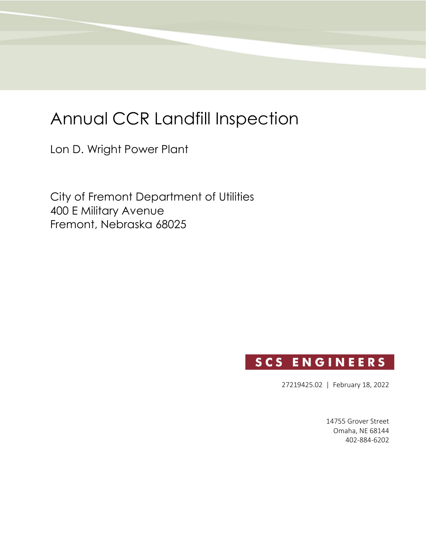# Annual CCR Landfill Inspection

Lon D. Wright Power Plant

City of Fremont Department of Utilities 400 E Military Avenue Fremont, Nebraska 68025

## SCS ENGINEERS

27219425.02 | February 18, 2022

14755 Grover Street Omaha, NE 68144 402-884-6202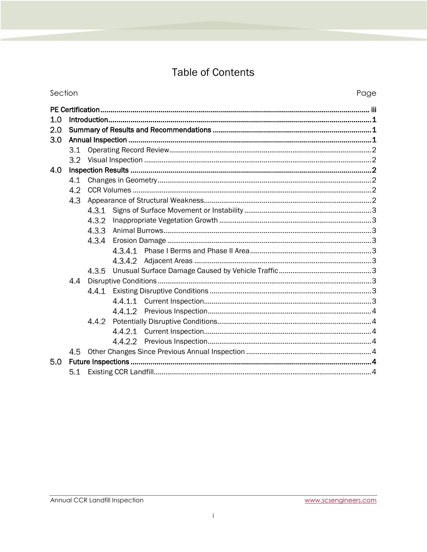### **Table of Contents**

### Section

| 1.0 |     |       |  |  |
|-----|-----|-------|--|--|
| 2.0 |     |       |  |  |
| 3.0 |     |       |  |  |
|     | 3.1 |       |  |  |
|     | 3.2 |       |  |  |
| 4.0 |     |       |  |  |
|     | 4.1 |       |  |  |
|     | 4.2 |       |  |  |
|     | 4.3 |       |  |  |
|     |     | 4.3.1 |  |  |
|     |     | 4.3.2 |  |  |
|     |     | 4.3.3 |  |  |
|     |     | 4.3.4 |  |  |
|     |     |       |  |  |
|     |     |       |  |  |
|     |     | 4.3.5 |  |  |
|     | 4.4 |       |  |  |
|     |     | 4.4.1 |  |  |
|     |     |       |  |  |
|     |     |       |  |  |
|     |     | 4.4.2 |  |  |
|     |     |       |  |  |
|     |     |       |  |  |
|     | 4.5 |       |  |  |
| 5.0 |     |       |  |  |
|     | 5.1 |       |  |  |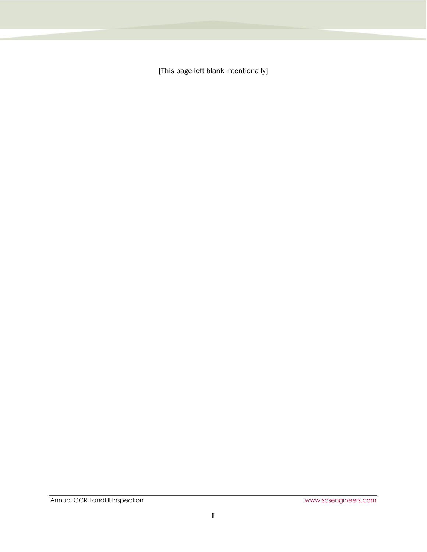[This page left blank intentionally]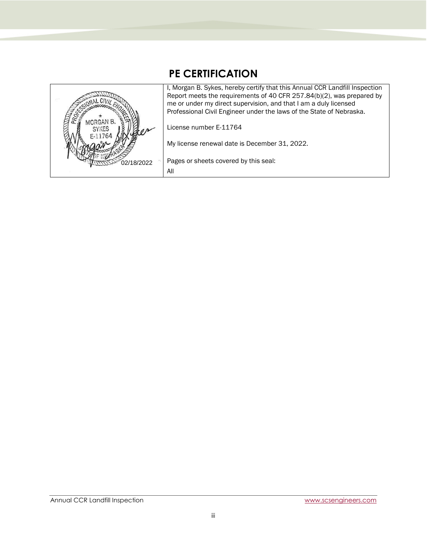<span id="page-3-0"></span>

### **PE CERTIFICATION**

I, Morgan B. Sykes, hereby certify that this Annual CCR Landfill Inspection Report meets the requirements of 40 CFR 257.84(b)(2), was prepared by me or under my direct supervision, and that I am a duly licensed Professional Civil Engineer under the laws of the State of Nebraska.

License number E-11764

My license renewal date is December 31, 2022.

Pages or sheets covered by this seal:

All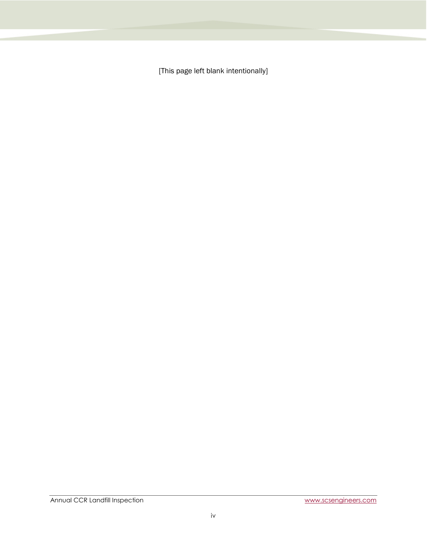<span id="page-4-0"></span>[This page left blank intentionally]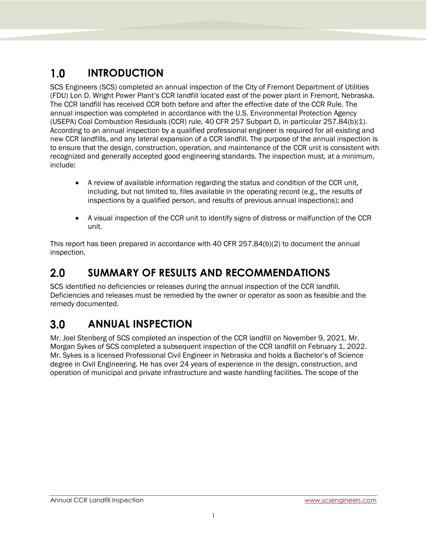#### $1.0$ **INTRODUCTION**

SCS Engineers (SCS) completed an annual inspection of the City of Fremont Department of Utilities (FDU) Lon D. Wright Power Plant's CCR landfill located east of the power plant in Fremont, Nebraska. The CCR landfill has received CCR both before and after the effective date of the CCR Rule. The annual inspection was completed in accordance with the U.S. Environmental Protection Agency (USEPA) Coal Combustion Residuals (CCR) rule, 40 CFR 257 Subpart D, in particular 257.84(b)(1). According to an annual inspection by a qualified professional engineer is required for all existing and new CCR landfills, and any lateral expansion of a CCR landfill. The purpose of the annual inspection is to ensure that the design, construction, operation, and maintenance of the CCR unit is consistent with recognized and generally accepted good engineering standards. The inspection must, at a minimum, include:

- A review of available information regarding the status and condition of the CCR unit, including, but not limited to, files available in the operating record (e.g., the results of inspections by a qualified person, and results of previous annual inspections); and
- A visual inspection of the CCR unit to identify signs of distress or malfunction of the CCR unit.

This report has been prepared in accordance with 40 CFR 257.84(b)(2) to document the annual inspection.

#### <span id="page-5-0"></span> $2.0$ **SUMMARY OF RESULTS AND RECOMMENDATIONS**

SCS identified no deficiencies or releases during the annual inspection of the CCR landfill. Deficiencies and releases must be remedied by the owner or operator as soon as feasible and the remedy documented.

#### <span id="page-5-1"></span> $3.0$ **ANNUAL INSPECTION**

Mr. Joel Stenberg of SCS completed an inspection of the CCR landfill on November 9, 2021. Mr. Morgan Sykes of SCS completed a subsequent inspection of the CCR landfill on February 1, 2022. Mr. Sykes is a licensed Professional Civil Engineer in Nebraska and holds a Bachelor's of Science degree in Civil Engineering. He has over 24 years of experience in the design, construction, and operation of municipal and private infrastructure and waste handling facilities. The scope of the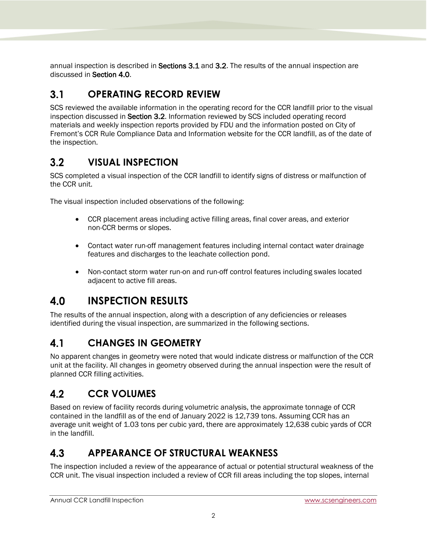annual inspection is described in Sections 3.1 and 3.2. The results of the annual inspection are discussed in Section 4.0.

#### <span id="page-6-0"></span> $3.1$ **OPERATING RECORD REVIEW**

SCS reviewed the available information in the operating record for the CCR landfill prior to the visual inspection discussed in Section 3.2. Information reviewed by SCS included operating record materials and weekly inspection reports provided by FDU and the information posted on City of Fremont's CCR Rule Compliance Data and Information website for the CCR landfill, as of the date of the inspection.

#### <span id="page-6-1"></span> $3.2$ **VISUAL INSPECTION**

SCS completed a visual inspection of the CCR landfill to identify signs of distress or malfunction of the CCR unit.

The visual inspection included observations of the following:

- CCR placement areas including active filling areas, final cover areas, and exterior non-CCR berms or slopes.
- Contact water run-off management features including internal contact water drainage features and discharges to the leachate collection pond.
- Non-contact storm water run-on and run-off control features including swales located adjacent to active fill areas.

#### <span id="page-6-2"></span> $4.0$ **INSPECTION RESULTS**

The results of the annual inspection, along with a description of any deficiencies or releases identified during the visual inspection, are summarized in the following sections.

#### <span id="page-6-3"></span> $4.1$ **CHANGES IN GEOMETRY**

No apparent changes in geometry were noted that would indicate distress or malfunction of the CCR unit at the facility. All changes in geometry observed during the annual inspection were the result of planned CCR filling activities.

#### <span id="page-6-4"></span> $4.2$ **CCR VOLUMES**

Based on review of facility records during volumetric analysis, the approximate tonnage of CCR contained in the landfill as of the end of January 2022 is 12,739 tons. Assuming CCR has an average unit weight of 1.03 tons per cubic yard, there are approximately 12,638 cubic yards of CCR in the landfill.

#### <span id="page-6-5"></span> $4.3$ **APPEARANCE OF STRUCTURAL WEAKNESS**

The inspection included a review of the appearance of actual or potential structural weakness of the CCR unit. The visual inspection included a review of CCR fill areas including the top slopes, internal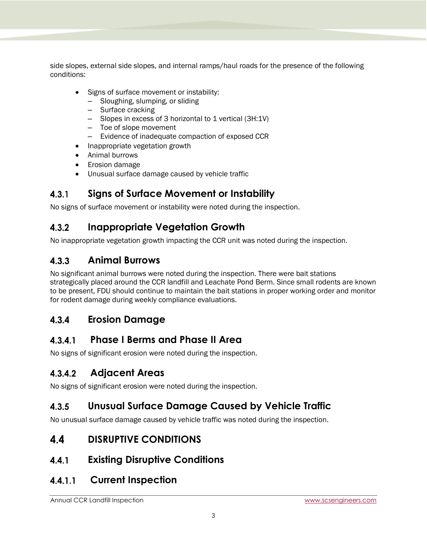side slopes, external side slopes, and internal ramps/haul roads for the presence of the following conditions:

- Signs of surface movement or instability:
	- Sloughing, slumping, or sliding
	- Surface cracking
	- Slopes in excess of 3 horizontal to 1 vertical (3H:1V)
	- Toe of slope movement
	- Evidence of inadequate compaction of exposed CCR
- Inappropriate vegetation growth
- Animal burrows
- Erosion damage
- Unusual surface damage caused by vehicle traffic

#### <span id="page-7-0"></span>**Signs of Surface Movement or Instability**  $4.3.1$

<span id="page-7-1"></span>No signs of surface movement or instability were noted during the inspection.

#### $4.3.2$ **Inappropriate Vegetation Growth**

No inappropriate vegetation growth impacting the CCR unit was noted during the inspection.

#### <span id="page-7-2"></span>**Animal Burrows**  $4.3.3$

No significant animal burrows were noted during the inspection. There were bait stations strategically placed around the CCR landfill and Leachate Pond Berm. Since small rodents are known to be present, FDU should continue to maintain the bait stations in proper working order and monitor for rodent damage during weekly compliance evaluations.

#### <span id="page-7-3"></span> $4.3.4$ **Erosion Damage**

#### <span id="page-7-4"></span>**Phase I Berms and Phase II Area**  $4,3,4,1$

No signs of significant erosion were noted during the inspection.

#### <span id="page-7-5"></span> $4.3.4.2$ **Adjacent Areas**

No signs of significant erosion were noted during the inspection.

#### <span id="page-7-6"></span>**Unusual Surface Damage Caused by Vehicle Traffic**  $4.3.5$

<span id="page-7-7"></span>No unusual surface damage caused by vehicle traffic was noted during the inspection.

#### 44 **DISRUPTIVE CONDITIONS**

#### <span id="page-7-8"></span>**Existing Disruptive Conditions**  $4.4.1$

<span id="page-7-9"></span>4411 **Current Inspection**